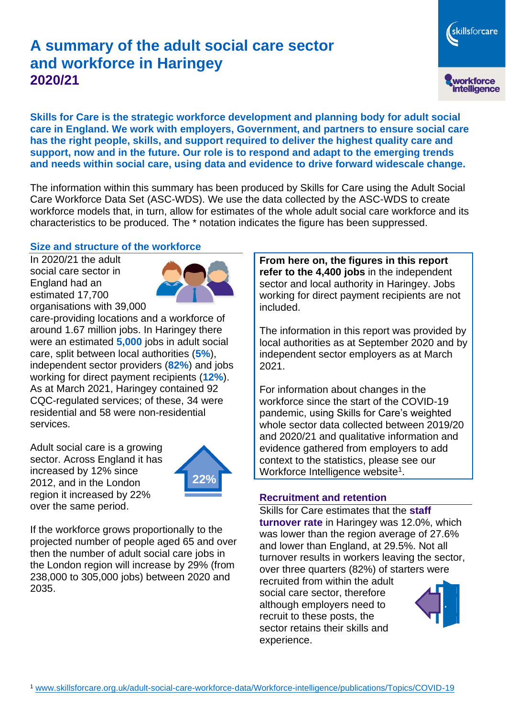# **A summary of the adult social care sector and workforce in Haringey 2020/21**

workforce<br>intelligence

skillsforcare

**Skills for Care is the strategic workforce development and planning body for adult social care in England. We work with employers, Government, and partners to ensure social care has the right people, skills, and support required to deliver the highest quality care and support, now and in the future. Our role is to respond and adapt to the emerging trends and needs within social care, using data and evidence to drive forward widescale change.**

The information within this summary has been produced by Skills for Care using the Adult Social Care Workforce Data Set (ASC-WDS). We use the data collected by the ASC-WDS to create workforce models that, in turn, allow for estimates of the whole adult social care workforce and its characteristics to be produced. The \* notation indicates the figure has been suppressed.

#### **Size and structure of the workforce**

In 2020/21 the adult social care sector in England had an estimated 17,700 organisations with 39,000



care-providing locations and a workforce of around 1.67 million jobs. In Haringey there were an estimated **5,000** jobs in adult social care, split between local authorities (**5%**), independent sector providers (**82%**) and jobs working for direct payment recipients (**12%**). As at March 2021, Haringey contained 92 CQC-regulated services; of these, 34 were residential and 58 were non-residential services.

Adult social care is a growing sector. Across England it has increased by 12% since 2012, and in the London region it increased by 22% over the same period.



If the workforce grows proportionally to the projected number of people aged 65 and over then the number of adult social care jobs in the London region will increase by 29% (from 238,000 to 305,000 jobs) between 2020 and 2035.

**From here on, the figures in this report refer to the 4,400 jobs** in the independent sector and local authority in Haringey. Jobs working for direct payment recipients are not included.

The information in this report was provided by local authorities as at September 2020 and by independent sector employers as at March 2021.

For information about changes in the workforce since the start of the COVID-19 pandemic, using Skills for Care's weighted whole sector data collected between 2019/20 and 2020/21 and qualitative information and evidence gathered from employers to add context to the statistics, please see our Workforce Intelligence website<sup>1</sup>.

#### **Recruitment and retention**

Skills for Care estimates that the **staff turnover rate** in Haringey was 12.0%, which was lower than the region average of 27.6% and lower than England, at 29.5%. Not all turnover results in workers leaving the sector, over three quarters (82%) of starters were

recruited from within the adult social care sector, therefore although employers need to recruit to these posts, the sector retains their skills and experience.

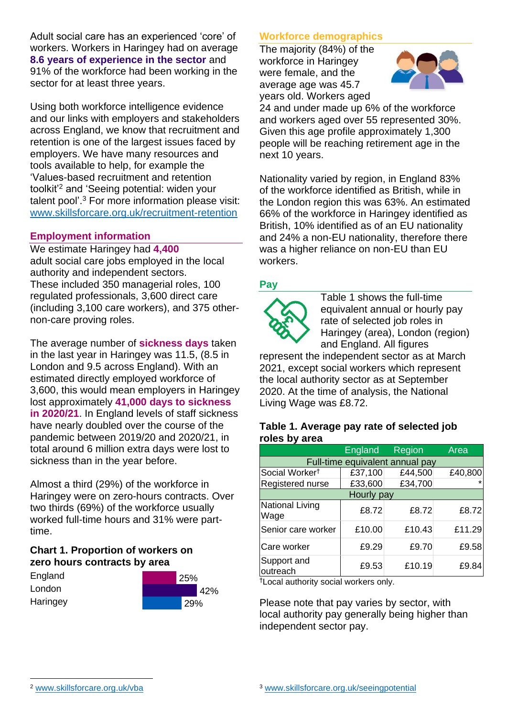Adult social care has an experienced 'core' of workers. Workers in Haringey had on average **8.6 years of experience in the sector** and 91% of the workforce had been working in the sector for at least three years.

Using both workforce intelligence evidence and our links with employers and stakeholders across England, we know that recruitment and retention is one of the largest issues faced by employers. We have many resources and tools available to help, for example the 'Values-based recruitment and retention toolkit'<sup>2</sup> and 'Seeing potential: widen your talent pool'. <sup>3</sup> For more information please visit: [www.skillsforcare.org.uk/recruitment-retention](http://www.skillsforcare.org.uk/recruitment-retention)

### **Employment information**

We estimate Haringey had **4,400** adult social care jobs employed in the local authority and independent sectors. These included 350 managerial roles, 100 regulated professionals, 3,600 direct care (including 3,100 care workers), and 375 othernon-care proving roles.

The average number of **sickness days** taken in the last year in Haringey was 11.5, (8.5 in London and 9.5 across England). With an estimated directly employed workforce of 3,600, this would mean employers in Haringey lost approximately **41,000 days to sickness in 2020/21**. In England levels of staff sickness have nearly doubled over the course of the pandemic between 2019/20 and 2020/21, in total around 6 million extra days were lost to sickness than in the year before.

Almost a third (29%) of the workforce in Haringey were on zero-hours contracts. Over two thirds (69%) of the workforce usually worked full-time hours and 31% were parttime.

# **Chart 1. Proportion of workers on zero hours contracts by area**

| England  | 25% |                 |  |
|----------|-----|-----------------|--|
| London   |     | 42%             |  |
| Haringey |     | $^{\prime}$ 29% |  |

# **Workforce demographics**

The majority (84%) of the workforce in Haringey were female, and the average age was 45.7 years old. Workers aged



24 and under made up 6% of the workforce and workers aged over 55 represented 30%. Given this age profile approximately 1,300 people will be reaching retirement age in the next 10 years.

Nationality varied by region, in England 83% of the workforce identified as British, while in the London region this was 63%. An estimated 66% of the workforce in Haringey identified as British, 10% identified as of an EU nationality and 24% a non-EU nationality, therefore there was a higher reliance on non-EU than EU workers.

# **Pay**



Table 1 shows the full-time equivalent annual or hourly pay rate of selected job roles in Haringey (area), London (region) and England. All figures

represent the independent sector as at March 2021, except social workers which represent the local authority sector as at September 2020. At the time of analysis, the National Living Wage was £8.72.

#### **Table 1. Average pay rate of selected job roles by area**

|                                 | <b>England</b> | <b>Region</b> | Area    |  |
|---------------------------------|----------------|---------------|---------|--|
| Full-time equivalent annual pay |                |               |         |  |
| Social Worker <sup>t</sup>      | £37,100        | £44,500       | £40,800 |  |
| Registered nurse                | £33,600        | £34,700       |         |  |
| Hourly pay                      |                |               |         |  |
| National Living<br>Wage         | £8.72          | £8.72         | £8.72   |  |
| Senior care worker              | £10.00         | £10.43        | £11.29  |  |
| Care worker                     | £9.29          | £9.70         | £9.58   |  |
| Support and<br>outreach         | £9.53          | £10.19        | £9.84   |  |

†Local authority social workers only.

Please note that pay varies by sector, with local authority pay generally being higher than independent sector pay.